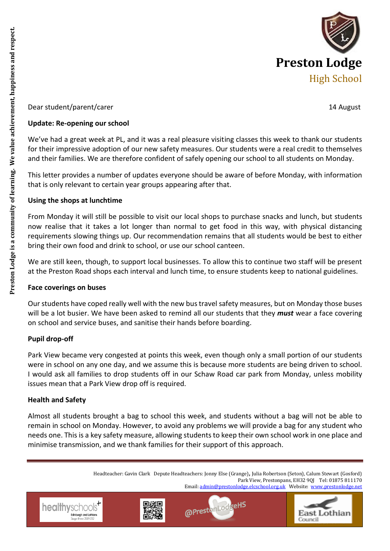

## Dear student/parent/carer 14 August 14 August 14 August 14 August 14 August 14 August 14 August 14 August 14 August 14 August 14 August 14 August 14 August 14 August 14 August 15 August 16 August 16 August 16 August 16 Aug

#### **Update: Re-opening our school**

We've had a great week at PL, and it was a real pleasure visiting classes this week to thank our students for their impressive adoption of our new safety measures. Our students were a real credit to themselves and their families. We are therefore confident of safely opening our school to all students on Monday.

This letter provides a number of updates everyone should be aware of before Monday, with information that is only relevant to certain year groups appearing after that.

## **Using the shops at lunchtime**

From Monday it will still be possible to visit our local shops to purchase snacks and lunch, but students now realise that it takes a lot longer than normal to get food in this way, with physical distancing requirements slowing things up. Our recommendation remains that all students would be best to either bring their own food and drink to school, or use our school canteen.

We are still keen, though, to support local businesses. To allow this to continue two staff will be present at the Preston Road shops each interval and lunch time, to ensure students keep to national guidelines.

### **Face coverings on buses**

Our students have coped really well with the new bus travel safety measures, but on Monday those buses will be a lot busier. We have been asked to remind all our students that they *must* wear a face covering on school and service buses, and sanitise their hands before boarding.

## **Pupil drop-off**

Park View became very congested at points this week, even though only a small portion of our students were in school on any one day, and we assume this is because more students are being driven to school. I would ask all families to drop students off in our Schaw Road car park from Monday, unless mobility issues mean that a Park View drop off is required.

### **Health and Safety**

Almost all students brought a bag to school this week, and students without a bag will not be able to remain in school on Monday. However, to avoid any problems we will provide a bag for any student who needs one. This is a key safety measure, allowing students to keep their own school work in one place and minimise transmission, and we thank families for their support of this approach.

> Headteacher: Gavin Clark Depute Headteachers: Jonny Else (Grange), Julia Robertson (Seton), Calum Stewart (Gosford) Park View, Prestonpans, EH32 9QJ Tel: 01875 811170 Email[: admin@prestonlodge.elcschool.org.uk](mailto:admin@prestonlodge.elcschool.org.uk) Website: [www.prestonlodge.net](http://www.prestonlodge.net/)

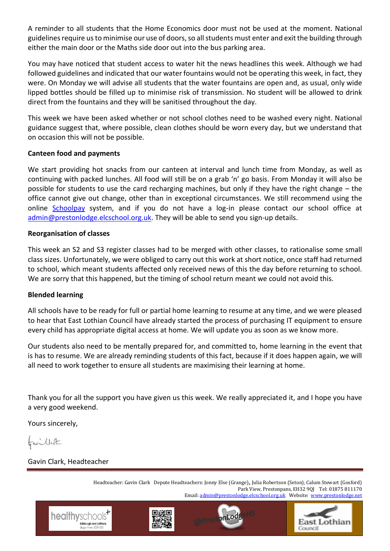A reminder to all students that the Home Economics door must not be used at the moment. National guidelines require us to minimise our use of doors, so all students must enter and exit the building through either the main door or the Maths side door out into the bus parking area.

You may have noticed that student access to water hit the news headlines this week. Although we had followed guidelines and indicated that our water fountains would not be operating this week, in fact, they were. On Monday we will advise all students that the water fountains are open and, as usual, only wide lipped bottles should be filled up to minimise risk of transmission. No student will be allowed to drink direct from the fountains and they will be sanitised throughout the day.

This week we have been asked whether or not school clothes need to be washed every night. National guidance suggest that, where possible, clean clothes should be worn every day, but we understand that on occasion this will not be possible.

## **Canteen food and payments**

We start providing hot snacks from our canteen at interval and lunch time from Monday, as well as continuing with packed lunches. All food will still be on a grab 'n' go basis. From Monday it will also be possible for students to use the card recharging machines, but only if they have the right change – the office cannot give out change, other than in exceptional circumstances. We still recommend using the online [Schoolpay](https://www.eastlothian.gov.uk/schoolpay) system, and if you do not have a log-in please contact our school office at [admin@prestonlodge.elcschool.org.uk.](mailto:admin@prestonlodge.elcschool.org.uk) They will be able to send you sign-up details.

### **Reorganisation of classes**

This week an S2 and S3 register classes had to be merged with other classes, to rationalise some small class sizes. Unfortunately, we were obliged to carry out this work at short notice, once staff had returned to school, which meant students affected only received news of this the day before returning to school. We are sorry that this happened, but the timing of school return meant we could not avoid this.

### **Blended learning**

All schools have to be ready for full or partial home learning to resume at any time, and we were pleased to hear that East Lothian Council have already started the process of purchasing IT equipment to ensure every child has appropriate digital access at home. We will update you as soon as we know more.

Our students also need to be mentally prepared for, and committed to, home learning in the event that is has to resume. We are already reminding students of this fact, because if it does happen again, we will all need to work together to ensure all students are maximising their learning at home.

Thank you for all the support you have given us this week. We really appreciated it, and I hope you have a very good weekend.

Yours sincerely,

Favillate

Gavin Clark, Headteacher

healthyschoo

Headteacher: Gavin Clark Depute Headteachers: Jonny Else (Grange), Julia Robertson (Seton), Calum Stewart (Gosford) Park View, Prestonpans, EH32 9QJ Tel: 01875 811170 Email[: admin@prestonlodge.elcschool.org.uk](mailto:admin@prestonlodge.elcschool.org.uk) Website: [www.prestonlodge.net](http://www.prestonlodge.net/)





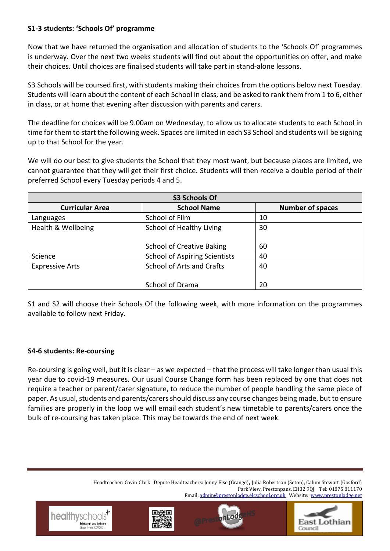# **S1-3 students: 'Schools Of' programme**

Now that we have returned the organisation and allocation of students to the 'Schools Of' programmes is underway. Over the next two weeks students will find out about the opportunities on offer, and make their choices. Until choices are finalised students will take part in stand-alone lessons.

S3 Schools will be coursed first, with students making their choices from the options below next Tuesday. Students will learn about the content of each School in class, and be asked to rank them from 1 to 6, either in class, or at home that evening after discussion with parents and carers.

The deadline for choices will be 9.00am on Wednesday, to allow us to allocate students to each School in time for them to start the following week. Spaces are limited in each S3 School and students will be signing up to that School for the year.

We will do our best to give students the School that they most want, but because places are limited, we cannot guarantee that they will get their first choice. Students will then receive a double period of their preferred School every Tuesday periods 4 and 5.

| <b>S3 Schools Of</b>   |                                      |                         |
|------------------------|--------------------------------------|-------------------------|
| <b>Curricular Area</b> | <b>School Name</b>                   | <b>Number of spaces</b> |
| Languages              | School of Film                       | 10                      |
| Health & Wellbeing     | School of Healthy Living             | 30                      |
|                        | <b>School of Creative Baking</b>     | 60                      |
| Science                | <b>School of Aspiring Scientists</b> | 40                      |
| <b>Expressive Arts</b> | <b>School of Arts and Crafts</b>     | 40                      |
|                        | School of Drama                      | 20                      |

S1 and S2 will choose their Schools Of the following week, with more information on the programmes available to follow next Friday.

## **S4-6 students: Re-coursing**

healthysc

Re-coursing is going well, but it is clear – as we expected – that the process will take longer than usual this year due to covid-19 measures. Our usual Course Change form has been replaced by one that does not require a teacher or parent/carer signature, to reduce the number of people handling the same piece of paper. As usual, students and parents/carers should discuss any course changes being made, but to ensure families are properly in the loop we will email each student's new timetable to parents/carers once the bulk of re-coursing has taken place. This may be towards the end of next week.

> Headteacher: Gavin Clark Depute Headteachers: Jonny Else (Grange), Julia Robertson (Seton), Calum Stewart (Gosford) Park View, Prestonpans, EH32 9QJ Tel: 01875 811170 Email[: admin@prestonlodge.elcschool.org.uk](mailto:admin@prestonlodge.elcschool.org.uk) Website: [www.prestonlodge.net](http://www.prestonlodge.net/)